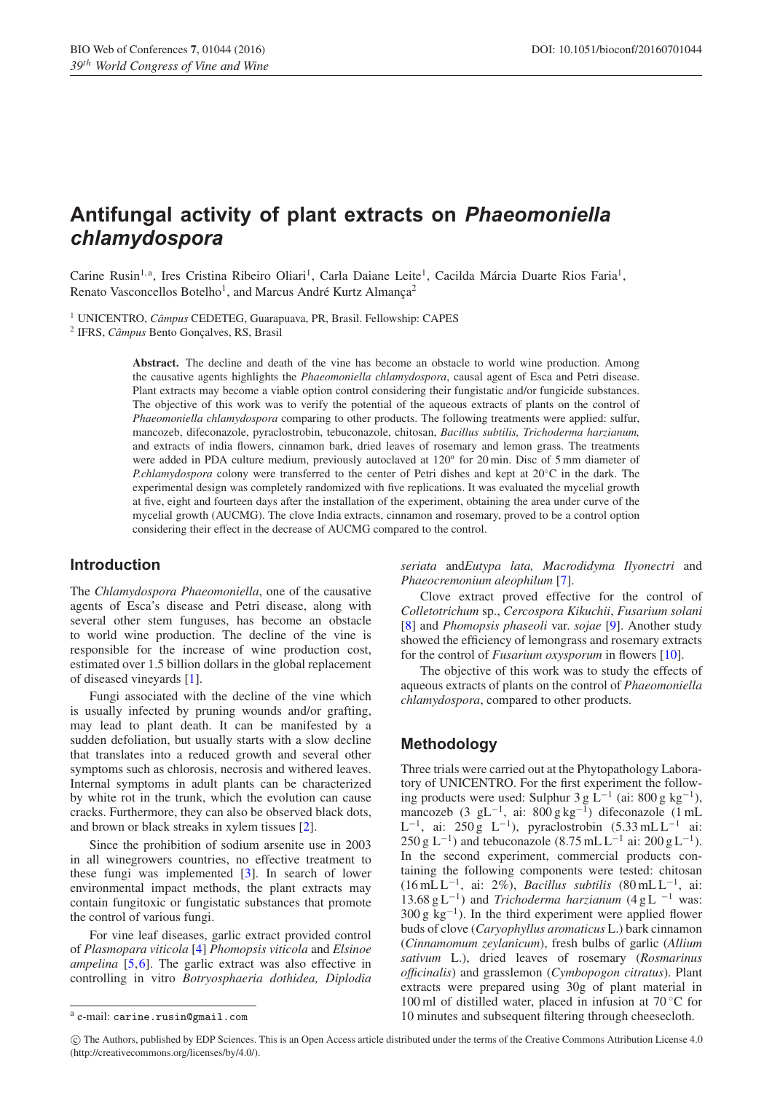# **Antifungal activity of plant extracts on** *Phaeomoniella chlamydospora*

Carine Rusin<sup>1, a</sup>, Ires Cristina Ribeiro Oliari<sup>1</sup>, Carla Daiane Leite<sup>1</sup>, Cacilda Márcia Duarte Rios Faria<sup>1</sup>, Renato Vasconcellos Botelho<sup>1</sup>, and Marcus André Kurtz Almança<sup>2</sup>

<sup>1</sup> UNICENTRO, *Câmpus* CEDETEG, Guarapuava, PR, Brasil. Fellowship: CAPES

<sup>2</sup> IFRS, *Câmpus* Bento Gonçalves, RS, Brasil

**Abstract.** The decline and death of the vine has become an obstacle to world wine production. Among the causative agents highlights the *Phaeomoniella chlamydospora*, causal agent of Esca and Petri disease. Plant extracts may become a viable option control considering their fungistatic and/or fungicide substances. The objective of this work was to verify the potential of the aqueous extracts of plants on the control of *Phaeomoniella chlamydospora* comparing to other products*.* The following treatments were applied: sulfur, mancozeb, difeconazole, pyraclostrobin, tebuconazole, chitosan, *Bacillus subtilis, Trichoderma harzianum,* and extracts of india flowers, cinnamon bark, dried leaves of rosemary and lemon grass. The treatments were added in PDA culture medium, previously autoclaved at  $120^{\circ}$  for  $20$  min. Disc of 5 mm diameter of *P.chlamydospora* colony were transferred to the center of Petri dishes and kept at 20℃ in the dark. The experimental design was completely randomized with five replications. It was evaluated the mycelial growth at five, eight and fourteen days after the installation of the experiment, obtaining the area under curve of the mycelial growth (AUCMG). The clove India extracts, cinnamon and rosemary, proved to be a control option considering their effect in the decrease of AUCMG compared to the control.

## **Introduction**

The *Chlamydospora Phaeomoniella*, one of the causative agents of Esca's disease and Petri disease, along with several other stem funguses, has become an obstacle to world wine production. The decline of the vine is responsible for the increase of wine production cost, estimated over 1.5 billion dollars in the global replacement of diseased vineyards [\[1](#page-2-0)].

Fungi associated with the decline of the vine which is usually infected by pruning wounds and/or grafting, may lead to plant death. It can be manifested by a sudden defoliation, but usually starts with a slow decline that translates into a reduced growth and several other symptoms such as chlorosis, necrosis and withered leaves. Internal symptoms in adult plants can be characterized by white rot in the trunk, which the evolution can cause cracks. Furthermore, they can also be observed black dots, and brown or black streaks in xylem tissues [\[2\]](#page-2-1).

Since the prohibition of sodium arsenite use in 2003 in all winegrowers countries, no effective treatment to these fungi was implemented [\[3\]](#page-2-2). In search of lower environmental impact methods, the plant extracts may contain fungitoxic or fungistatic substances that promote the control of various fungi.

For vine leaf diseases, garlic extract provided control of *Plasmopara viticola* [\[4\]](#page-2-3) *Phomopsis viticola* and *Elsinoe ampelina* [\[5,](#page-2-4)[6](#page-2-5)]. The garlic extract was also effective in controlling in vitro *Botryosphaeria dothidea, Diplodia* *seriata* and*Eutypa lata, Macrodidyma Ilyonectri* and *Phaeocremonium aleophilum* [\[7](#page-2-6)].

Clove extract proved effective for the control of *Colletotrichum* sp., *Cercospora Kikuchii*, *Fusarium solani* [\[8](#page-2-7)] and *Phomopsis phaseoli* var. *sojae* [\[9\]](#page-2-8). Another study showed the efficiency of lemongrass and rosemary extracts for the control of *Fusarium oxysporum* in flowers [\[10\]](#page-2-9).

The objective of this work was to study the effects of aqueous extracts of plants on the control of *Phaeomoniella chlamydospora*, compared to other products.

# **Methodology**

Three trials were carried out at the Phytopathology Laboratory of UNICENTRO. For the first experiment the following products were used: Sulphur 3 g  $\dot{L}^{-1}$  (ai: 800 g kg<sup>-1</sup>), mancozeb (3 gL−1, ai: 800 g kg−1) difeconazole (1 mL  $L^{-1}$ , ai: 250 g L<sup>-1</sup>), pyraclostrobin (5.33 mL L<sup>-1</sup> ai:  $250 g L^{-1}$ ) and tebuconazole (8.75 mL L<sup>-1</sup> ai: 200 g L<sup>-1</sup>). In the second experiment, commercial products containing the following components were tested: chitosan (16 mL L−1, ai: 2%), *Bacillus subtilis* (80 mL L−1, ai: 13.68 g L<sup>-1</sup>) and *Trichoderma harzianum* (4 g L<sup>-1</sup> was:  $300 \text{ g kg}^{-1}$ ). In the third experiment were applied flower buds of clove (*Caryophyllus aromaticus* L.) bark cinnamon (*Cinnamomum zeylanicum*), fresh bulbs of garlic (*Allium sativum* L.), dried leaves of rosemary (*Rosmarinus officinalis*) and grasslemon (*Cymbopogon citratus*). Plant extracts were prepared using 30g of plant material in 100 ml of distilled water, placed in infusion at  $70^{\circ}$ C for 10 minutes and subsequent filtering through cheesecloth.

c The Authors, published by EDP Sciences. This is an Open Access article distributed under the terms of the Creative Commons Attribution License 4.0 (http://creativecommons.org/licenses/by/4.0/).

<sup>a</sup> e-mail: carine.rusin@gmail.com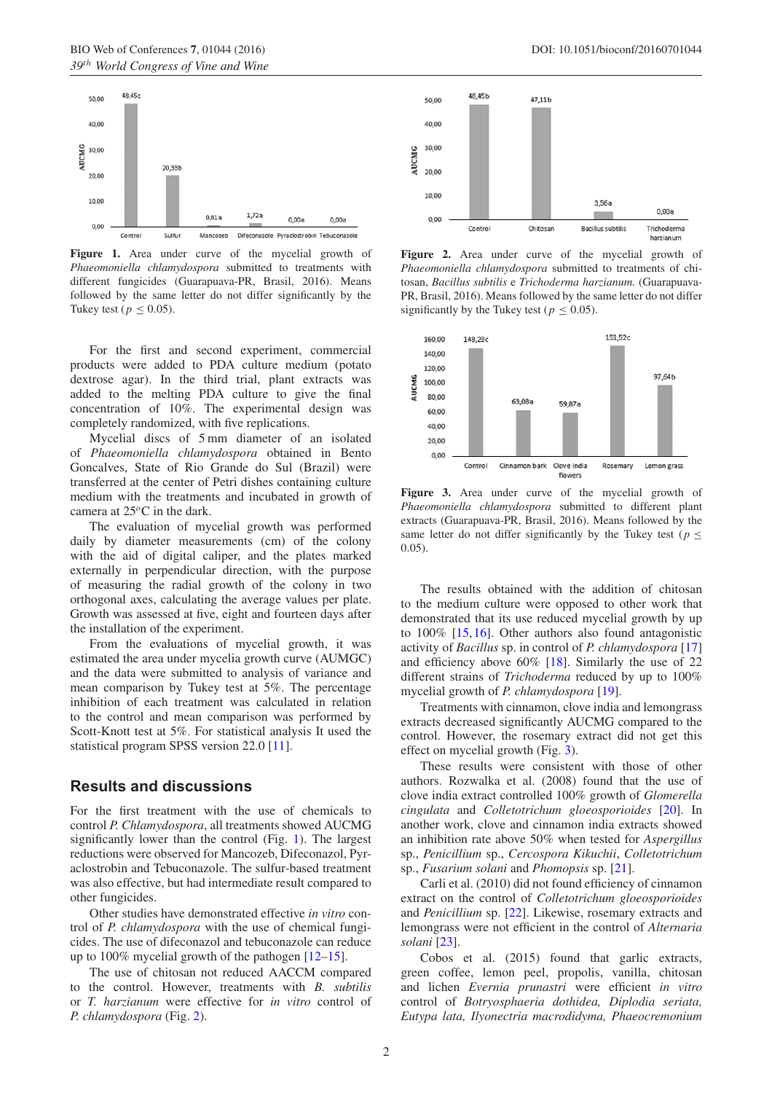<span id="page-1-0"></span>

Figure 1. Area under curve of the mycelial growth of *Phaeomoniella chlamydospora* submitted to treatments with different fungicides (Guarapuava-PR, Brasil, 2016). Means followed by the same letter do not differ significantly by the Tukey test ( $p \leq 0.05$ ).

For the first and second experiment, commercial products were added to PDA culture medium (potato dextrose agar). In the third trial, plant extracts was added to the melting PDA culture to give the final concentration of 10%. The experimental design was completely randomized, with five replications.

Mycelial discs of 5 mm diameter of an isolated of *Phaeomoniella chlamydospora* obtained in Bento Goncalves, State of Rio Grande do Sul (Brazil) were transferred at the center of Petri dishes containing culture medium with the treatments and incubated in growth of camera at 25*<sup>o</sup>*C in the dark.

The evaluation of mycelial growth was performed daily by diameter measurements (cm) of the colony with the aid of digital caliper, and the plates marked externally in perpendicular direction, with the purpose of measuring the radial growth of the colony in two orthogonal axes, calculating the average values per plate. Growth was assessed at five, eight and fourteen days after the installation of the experiment.

From the evaluations of mycelial growth, it was estimated the area under mycelia growth curve (AUMGC) and the data were submitted to analysis of variance and mean comparison by Tukey test at 5%. The percentage inhibition of each treatment was calculated in relation to the control and mean comparison was performed by Scott-Knott test at 5%. For statistical analysis It used the statistical program SPSS version 22.0 [\[11\]](#page-2-10).

#### **Results and discussions**

For the first treatment with the use of chemicals to control *P. Chlamydospora*, all treatments showed AUCMG significantly lower than the control (Fig. [1\)](#page-1-0). The largest reductions were observed for Mancozeb, Difeconazol, Pyraclostrobin and Tebuconazole. The sulfur-based treatment was also effective, but had intermediate result compared to other fungicides.

Other studies have demonstrated effective *in vitro* control of *P. chlamydospora* with the use of chemical fungicides. The use of difeconazol and tebuconazole can reduce up to 100% mycelial growth of the pathogen [\[12](#page-2-11)[–15](#page-2-12)].

The use of chitosan not reduced AACCM compared to the control. However, treatments with *B. subtilis* or *T. harzianum* were effective for *in vitro* control of *P. chlamydospora* (Fig. [2\)](#page-1-1).

<span id="page-1-1"></span>

Figure 2. Area under curve of the mycelial growth of *Phaeomoniella chlamydospora* submitted to treatments of chitosan, *Bacillus subtilis* e *Trichoderma harzianum.* (Guarapuava-PR, Brasil, 2016). Means followed by the same letter do not differ significantly by the Tukey test ( $p < 0.05$ ).

<span id="page-1-2"></span>

Figure 3. Area under curve of the mycelial growth of *Phaeomoniella chlamydospora* submitted to different plant extracts (Guarapuava-PR, Brasil, 2016). Means followed by the same letter do not differ significantly by the Tukey test ( $p <$ 0*.*05).

The results obtained with the addition of chitosan to the medium culture were opposed to other work that demonstrated that its use reduced mycelial growth by up to 100% [\[15,](#page-2-12)[16](#page-2-13)]. Other authors also found antagonistic activity of *Bacillus* sp. in control of *P. chlamydospora* [\[17\]](#page-2-14) and efficiency above 60% [\[18\]](#page-2-15). Similarly the use of 22 different strains of *Trichoderma* reduced by up to 100% mycelial growth of *P. chlamydospora* [\[19\]](#page-2-16).

Treatments with cinnamon, clove india and lemongrass extracts decreased significantly AUCMG compared to the control. However, the rosemary extract did not get this effect on mycelial growth (Fig. [3\)](#page-1-2).

These results were consistent with those of other authors. Rozwalka et al. (2008) found that the use of clove india extract controlled 100% growth of *Glomerella cingulata* and *Colletotrichum gloeosporioides* [\[20](#page-2-17)]. In another work, clove and cinnamon india extracts showed an inhibition rate above 50% when tested for *Aspergillus* sp., *Penicillium* sp., *Cercospora Kikuchii*, *Colletotrichum* sp., *Fusarium solani* and *Phomopsis* sp. [\[21\]](#page-2-18).

Carli et al. (2010) did not found efficiency of cinnamon extract on the control of *Colletotrichum gloeosporioides* and *Penicillium* sp. [\[22](#page-2-19)]. Likewise, rosemary extracts and lemongrass were not efficient in the control of *Alternaria solani* [\[23](#page-2-20)].

Cobos et al. (2015) found that garlic extracts, green coffee, lemon peel, propolis, vanilla, chitosan and lichen *Evernia prunastri* were efficient *in vitro* control of *Botryosphaeria dothidea, Diplodia seriata, Eutypa lata, Ilyonectria macrodidyma, Phaeocremonium*